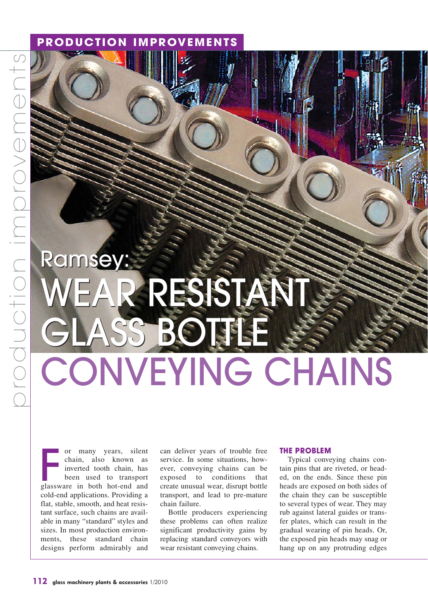# **PRODUCTION IMPROVEMENTS**

# Ramsey: Ramsey: WEAR RESISTANT WEAR RESISTANT GLASS BOTTLE CONVEYING CHAINS

or many years, silent chain, also known as inverted tooth chain, has been used to transport or many years, silent<br>chain, also known as<br>inverted tooth chain, has<br>been used to transport<br>glassware in both hot-end and cold-end applications. Providing a flat, stable, smooth, and heat resistant surface, such chains are available in many "standard" styles and sizes. In most production environments, these standard chain designs perform admirably and

can deliver years of trouble free service. In some situations, however, conveying chains can be exposed to conditions that create unusual wear, disrupt bottle transport, and lead to pre-mature chain failure.

Bottle producers experiencing these problems can often realize significant productivity gains by replacing standard conveyors with wear resistant conveying chains.

## **THE PROBLEM**

Typical conveying chains contain pins that are riveted, or headed, on the ends. Since these pin heads are exposed on both sides of the chain they can be susceptible to several types of wear. They may rub against lateral guides or transfer plates, which can result in the gradual wearing of pin heads. Or, the exposed pin heads may snag or hang up on any protruding edges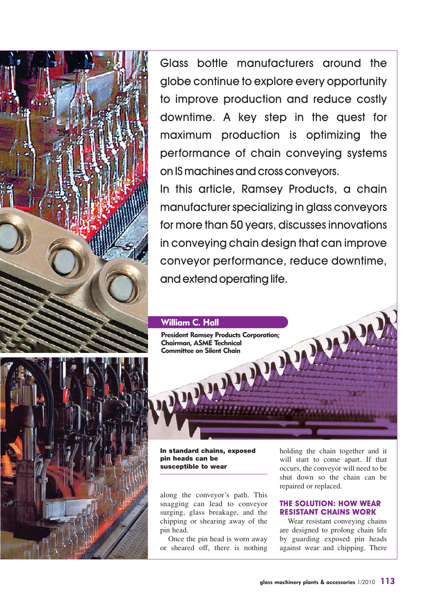

Glass bottle manufacturers around the globe continue to explore every opportunity to improve production and reduce costly downtime. A key step in the quest for maximum production is optimizing the performance of chain conveying systems on IS machines and cross conveyors.

In this article, Ramsey Products, a chain manufacturer specializing in glass conveyors for more than 50 years, discusses innovations in conveying chain design that can improve conveyor performance, reduce downtime, and extend operating life.



**In standard chains, exposed s pin heads can be susceptible to wear**

along the conveyor's path. This snagging can lead to conveyor surging, glass breakage, and the chipping or shearing away of the pin head.

Once the pin head is worn away or sheared off, there is nothing holding the chain together and it will start to come apart. If that occurs, the conveyor will need to be shut down so the chain can be repaired or replaced.

## **THE SOLUTION: HOW WEAR RESISTANT CHAINS WORK**

Wear resistant conveying chains are designed to prolong chain life by guarding exposed pin heads against wear and chipping. There

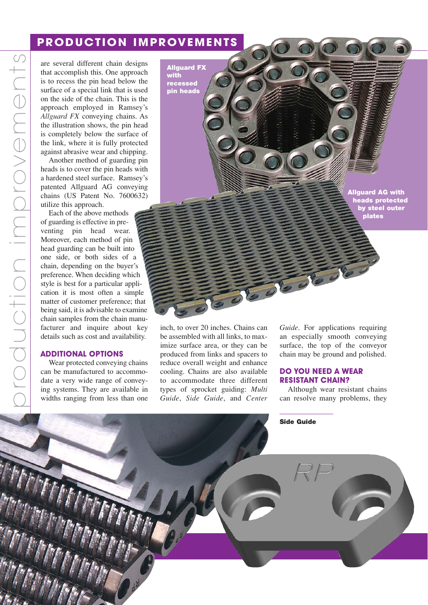# **PRODUCTION IMPROVEMENTS**

are several different chain designs that accomplish this. One approach is to recess the pin head below the surface of a special link that is used on the side of the chain. This is the approach employed in Ramsey's *Allguard FX* conveying chains. As the illustration shows, the pin head is completely below the surface of the link, where it is fully protected against abrasive wear and chipping.

Another method of guarding pin heads is to cover the pin heads with a hardened steel surface. Ramsey's patented Allguard AG conveying chains (US Patent No. 7600632) utilize this approach.

Each of the above methods of guarding is effective in preventing pin head wear. Moreover, each method of pin head guarding can be built into one side, or both sides of a chain, depending on the buyer's preference. When deciding which style is best for a particular application it is most often a simple matter of customer preference; that being said, it is advisable to examine chain samples from the chain manufacturer and inquire about key details such as cost and availability.

## **ADDITIONAL OPTIONS**

Wear protected conveying chains can be manufactured to accommodate a very wide range of conveying systems. They are available in widths ranging from less than one **with recessed pin heads**

**Allguard FX**

**Allguard AG with heads protected by steel outer plates**

inch, to over 20 inches. Chains can be assembled with all links, to maximize surface area, or they can be produced from links and spacers to reduce overall weight and enhance cooling. Chains are also available to accommodate three different types of sprocket guiding: *Multi Guide*, *Side Guide*, and *Center* *Guide*. For applications requiring an especially smooth conveying surface, the top of the conveyor chain may be ground and polished.

#### **DO YOU NEED A WEAR RESISTANT CHAIN?**

Although wear resistant chains can resolve many problems, they